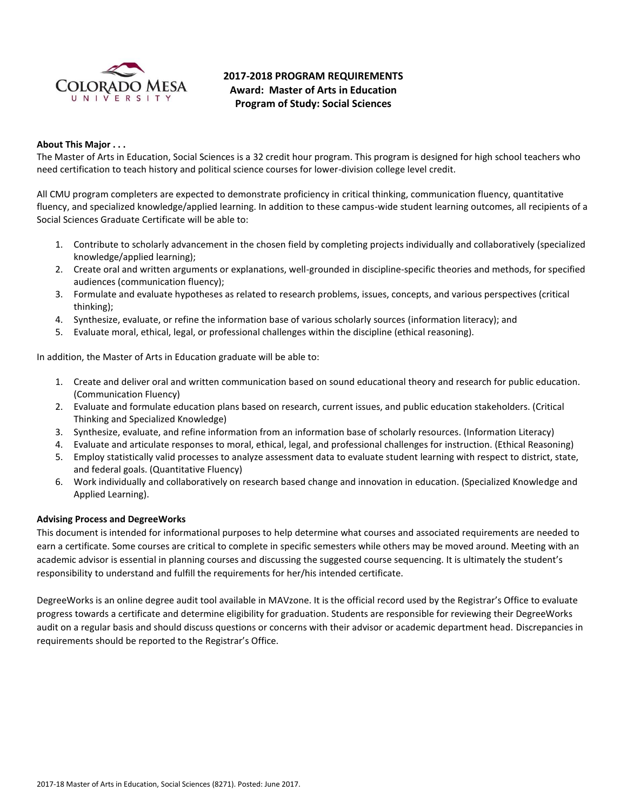

# **2017-2018 PROGRAM REQUIREMENTS Award: Master of Arts in Education Program of Study: Social Sciences**

#### **About This Major . . .**

The Master of Arts in Education, Social Sciences is a 32 credit hour program. This program is designed for high school teachers who need certification to teach history and political science courses for lower-division college level credit.

All CMU program completers are expected to demonstrate proficiency in critical thinking, communication fluency, quantitative fluency, and specialized knowledge/applied learning. In addition to these campus-wide student learning outcomes, all recipients of a Social Sciences Graduate Certificate will be able to:

- 1. Contribute to scholarly advancement in the chosen field by completing projects individually and collaboratively (specialized knowledge/applied learning);
- 2. Create oral and written arguments or explanations, well-grounded in discipline-specific theories and methods, for specified audiences (communication fluency);
- 3. Formulate and evaluate hypotheses as related to research problems, issues, concepts, and various perspectives (critical thinking);
- 4. Synthesize, evaluate, or refine the information base of various scholarly sources (information literacy); and
- 5. Evaluate moral, ethical, legal, or professional challenges within the discipline (ethical reasoning).

In addition, the Master of Arts in Education graduate will be able to:

- 1. Create and deliver oral and written communication based on sound educational theory and research for public education. (Communication Fluency)
- 2. Evaluate and formulate education plans based on research, current issues, and public education stakeholders. (Critical Thinking and Specialized Knowledge)
- 3. Synthesize, evaluate, and refine information from an information base of scholarly resources. (Information Literacy)
- 4. Evaluate and articulate responses to moral, ethical, legal, and professional challenges for instruction. (Ethical Reasoning)
- 5. Employ statistically valid processes to analyze assessment data to evaluate student learning with respect to district, state, and federal goals. (Quantitative Fluency)
- 6. Work individually and collaboratively on research based change and innovation in education. (Specialized Knowledge and Applied Learning).

#### **Advising Process and DegreeWorks**

This document is intended for informational purposes to help determine what courses and associated requirements are needed to earn a certificate. Some courses are critical to complete in specific semesters while others may be moved around. Meeting with an academic advisor is essential in planning courses and discussing the suggested course sequencing. It is ultimately the student's responsibility to understand and fulfill the requirements for her/his intended certificate.

DegreeWorks is an online degree audit tool available in MAVzone. It is the official record used by the Registrar's Office to evaluate progress towards a certificate and determine eligibility for graduation. Students are responsible for reviewing their DegreeWorks audit on a regular basis and should discuss questions or concerns with their advisor or academic department head. Discrepancies in requirements should be reported to the Registrar's Office.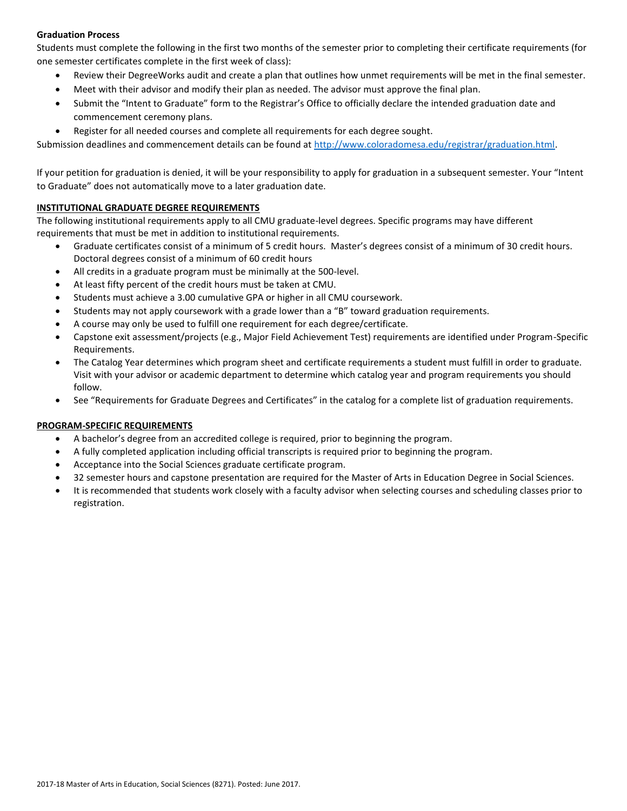## **Graduation Process**

Students must complete the following in the first two months of the semester prior to completing their certificate requirements (for one semester certificates complete in the first week of class):

- Review their DegreeWorks audit and create a plan that outlines how unmet requirements will be met in the final semester.
- Meet with their advisor and modify their plan as needed. The advisor must approve the final plan.
- Submit the "Intent to Graduate" form to the Registrar's Office to officially declare the intended graduation date and commencement ceremony plans.
- Register for all needed courses and complete all requirements for each degree sought.

Submission deadlines and commencement details can be found at [http://www.coloradomesa.edu/registrar/graduation.html.](http://www.coloradomesa.edu/registrar/graduation.html)

If your petition for graduation is denied, it will be your responsibility to apply for graduation in a subsequent semester. Your "Intent to Graduate" does not automatically move to a later graduation date.

## **INSTITUTIONAL GRADUATE DEGREE REQUIREMENTS**

The following institutional requirements apply to all CMU graduate-level degrees. Specific programs may have different requirements that must be met in addition to institutional requirements.

- Graduate certificates consist of a minimum of 5 credit hours. Master's degrees consist of a minimum of 30 credit hours. Doctoral degrees consist of a minimum of 60 credit hours
- All credits in a graduate program must be minimally at the 500-level.
- At least fifty percent of the credit hours must be taken at CMU.
- Students must achieve a 3.00 cumulative GPA or higher in all CMU coursework.
- Students may not apply coursework with a grade lower than a "B" toward graduation requirements.
- A course may only be used to fulfill one requirement for each degree/certificate.
- Capstone exit assessment/projects (e.g., Major Field Achievement Test) requirements are identified under Program-Specific Requirements.
- The Catalog Year determines which program sheet and certificate requirements a student must fulfill in order to graduate. Visit with your advisor or academic department to determine which catalog year and program requirements you should follow.
- See "Requirements for Graduate Degrees and Certificates" in the catalog for a complete list of graduation requirements.

## **PROGRAM-SPECIFIC REQUIREMENTS**

- A bachelor's degree from an accredited college is required, prior to beginning the program.
- A fully completed application including official transcripts is required prior to beginning the program.
- Acceptance into the Social Sciences graduate certificate program.
- 32 semester hours and capstone presentation are required for the Master of Arts in Education Degree in Social Sciences.
- It is recommended that students work closely with a faculty advisor when selecting courses and scheduling classes prior to registration.